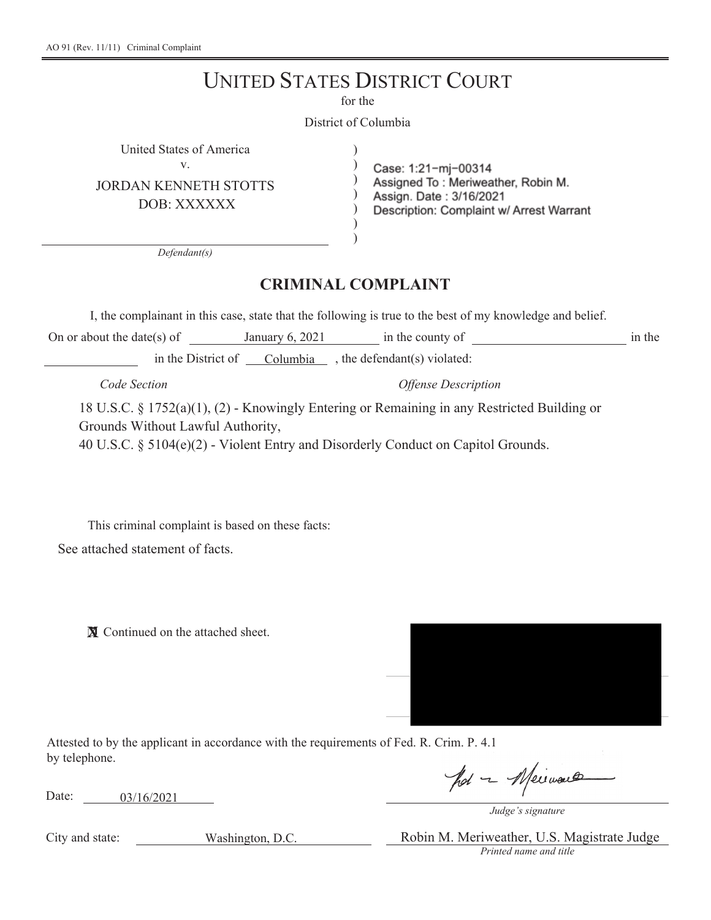## UNITED STATES DISTRICT COURT

for the

District of Columbia

) )  $)$  $\lambda$ ) )

United States of America ) v.

JORDAN KENNETH STOTTS

DOB: XXXXXX

Case: 1:21-mj-00314<br>Assigned To : Meriweather, Robin M. Assign. Date: 3/16/2021

Description: Complaint w/ Arrest Warrant

*Defendant(s)*

## **CRIMINAL COMPLAINT**

I, the complainant in this case, state that the following is true to the best of my knowledge and belief.

On or about the date(s) of January 6, 2021 in the county of in the in the District of Columbia , the defendant(s) violated:

*Code Section Offense Description*

18 U.S.C. § 1752(a)(1), (2) - Knowingly Entering or Remaining in any Restricted Building or Grounds Without Lawful Authority, 40 U.S.C. § 5104(e)(2) - Violent Entry and Disorderly Conduct on Capitol Grounds.

This criminal complaint is based on these facts: See attached statement of facts.

**X** Continued on the attached sheet.



Attested to by the applicant in accordance with the requirements of Fed. R. Crim. P. 4.1 by telephone.

Date: 03/16/2021

pot - Meirvault

*Judge's signature*

City and state:

Washington, D.C.

*Printed name and title* Robin M. Meriweather, U.S. Magistrate Judge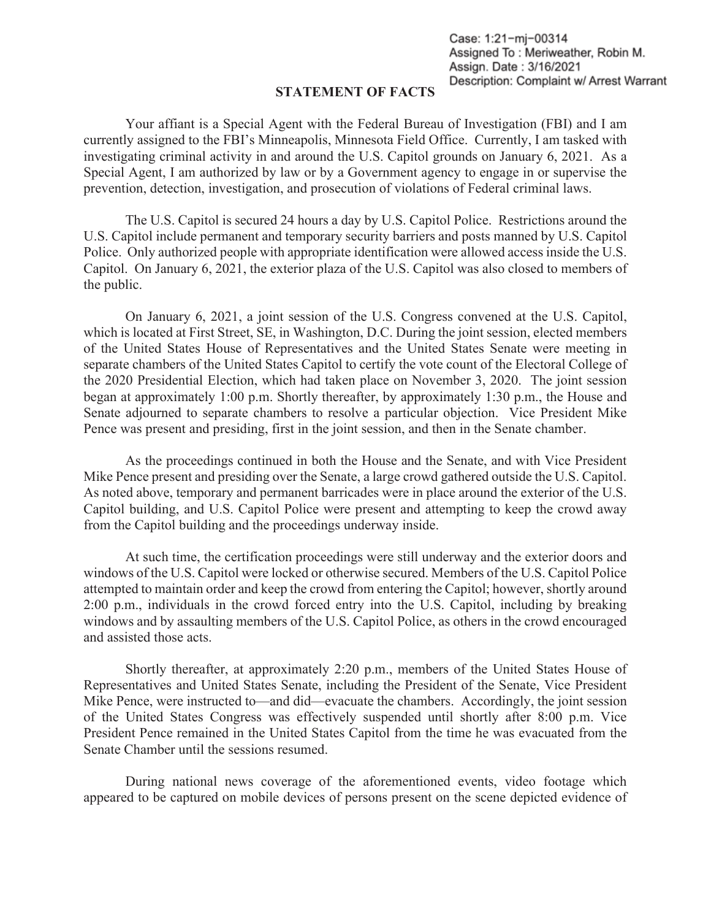Case: 1:21-mj-00314 Assigned To: Meriweather, Robin M. Assign. Date: 3/16/2021 Description: Complaint w/ Arrest Warrant

## **STATEMENT OF FACTS**

Your affiant is a Special Agent with the Federal Bureau of Investigation (FBI) and I am currently assigned to the FBI's Minneapolis, Minnesota Field Office. Currently, I am tasked with investigating criminal activity in and around the U.S. Capitol grounds on January 6, 2021. As a Special Agent, I am authorized by law or by a Government agency to engage in or supervise the prevention, detection, investigation, and prosecution of violations of Federal criminal laws.

The U.S. Capitol is secured 24 hours a day by U.S. Capitol Police. Restrictions around the U.S. Capitol include permanent and temporary security barriers and posts manned by U.S. Capitol Police. Only authorized people with appropriate identification were allowed access inside the U.S. Capitol. On January 6, 2021, the exterior plaza of the U.S. Capitol was also closed to members of the public.

On January 6, 2021, a joint session of the U.S. Congress convened at the U.S. Capitol, which is located at First Street, SE, in Washington, D.C. During the joint session, elected members of the United States House of Representatives and the United States Senate were meeting in separate chambers of the United States Capitol to certify the vote count of the Electoral College of the 2020 Presidential Election, which had taken place on November 3, 2020. The joint session began at approximately 1:00 p.m. Shortly thereafter, by approximately 1:30 p.m., the House and Senate adjourned to separate chambers to resolve a particular objection. Vice President Mike Pence was present and presiding, first in the joint session, and then in the Senate chamber.

As the proceedings continued in both the House and the Senate, and with Vice President Mike Pence present and presiding over the Senate, a large crowd gathered outside the U.S. Capitol. As noted above, temporary and permanent barricades were in place around the exterior of the U.S. Capitol building, and U.S. Capitol Police were present and attempting to keep the crowd away from the Capitol building and the proceedings underway inside.

At such time, the certification proceedings were still underway and the exterior doors and windows of the U.S. Capitol were locked or otherwise secured. Members of the U.S. Capitol Police attempted to maintain order and keep the crowd from entering the Capitol; however, shortly around 2:00 p.m., individuals in the crowd forced entry into the U.S. Capitol, including by breaking windows and by assaulting members of the U.S. Capitol Police, as others in the crowd encouraged and assisted those acts.

Shortly thereafter, at approximately 2:20 p.m., members of the United States House of Representatives and United States Senate, including the President of the Senate, Vice President Mike Pence, were instructed to—and did—evacuate the chambers. Accordingly, the joint session of the United States Congress was effectively suspended until shortly after 8:00 p.m. Vice President Pence remained in the United States Capitol from the time he was evacuated from the Senate Chamber until the sessions resumed.

During national news coverage of the aforementioned events, video footage which appeared to be captured on mobile devices of persons present on the scene depicted evidence of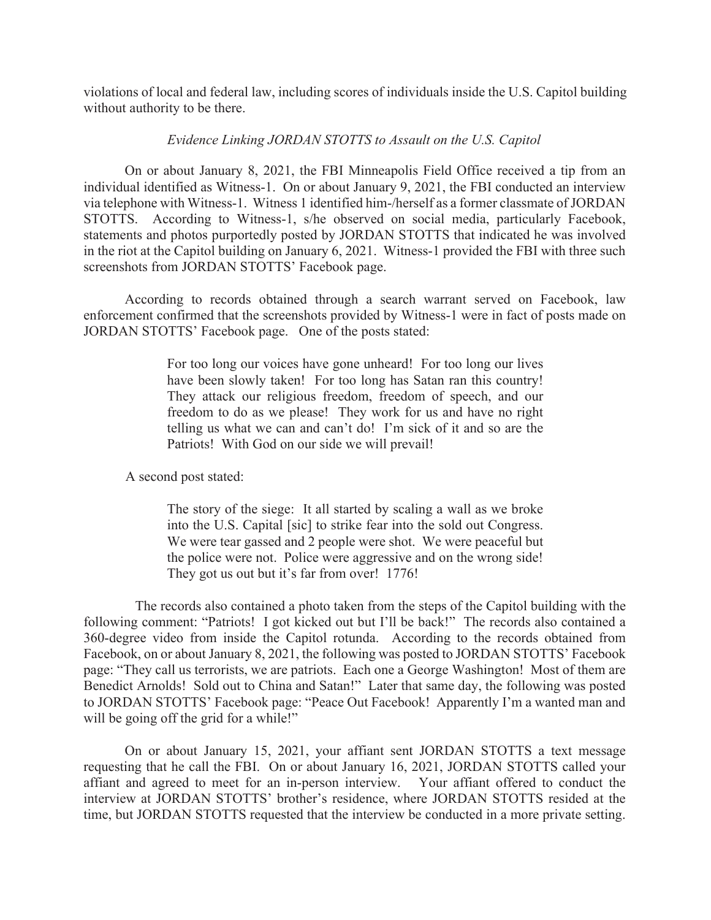violations of local and federal law, including scores of individuals inside the U.S. Capitol building without authority to be there.

## *Evidence Linking JORDAN STOTTS to Assault on the U.S. Capitol*

On or about January 8, 2021, the FBI Minneapolis Field Office received a tip from an individual identified as Witness-1. On or about January 9, 2021, the FBI conducted an interview via telephone with Witness-1. Witness 1 identified him-/herself as a former classmate of JORDAN STOTTS. According to Witness-1, s/he observed on social media, particularly Facebook, statements and photos purportedly posted by JORDAN STOTTS that indicated he was involved in the riot at the Capitol building on January 6, 2021. Witness-1 provided the FBI with three such screenshots from JORDAN STOTTS' Facebook page.

According to records obtained through a search warrant served on Facebook, law enforcement confirmed that the screenshots provided by Witness-1 were in fact of posts made on JORDAN STOTTS' Facebook page. One of the posts stated:

> For too long our voices have gone unheard! For too long our lives have been slowly taken! For too long has Satan ran this country! They attack our religious freedom, freedom of speech, and our freedom to do as we please! They work for us and have no right telling us what we can and can't do! I'm sick of it and so are the Patriots! With God on our side we will prevail!

A second post stated:

 The story of the siege: It all started by scaling a wall as we broke into the U.S. Capital [sic] to strike fear into the sold out Congress. We were tear gassed and 2 people were shot. We were peaceful but the police were not. Police were aggressive and on the wrong side! They got us out but it's far from over! 1776!

 The records also contained a photo taken from the steps of the Capitol building with the following comment: "Patriots! I got kicked out but I'll be back!" The records also contained a 360-degree video from inside the Capitol rotunda. According to the records obtained from Facebook, on or about January 8, 2021, the following was posted to JORDAN STOTTS' Facebook page: "They call us terrorists, we are patriots. Each one a George Washington! Most of them are Benedict Arnolds! Sold out to China and Satan!" Later that same day, the following was posted to JORDAN STOTTS' Facebook page: "Peace Out Facebook! Apparently I'm a wanted man and will be going off the grid for a while!"

On or about January 15, 2021, your affiant sent JORDAN STOTTS a text message requesting that he call the FBI. On or about January 16, 2021, JORDAN STOTTS called your affiant and agreed to meet for an in-person interview. Your affiant offered to conduct the interview at JORDAN STOTTS' brother's residence, where JORDAN STOTTS resided at the time, but JORDAN STOTTS requested that the interview be conducted in a more private setting.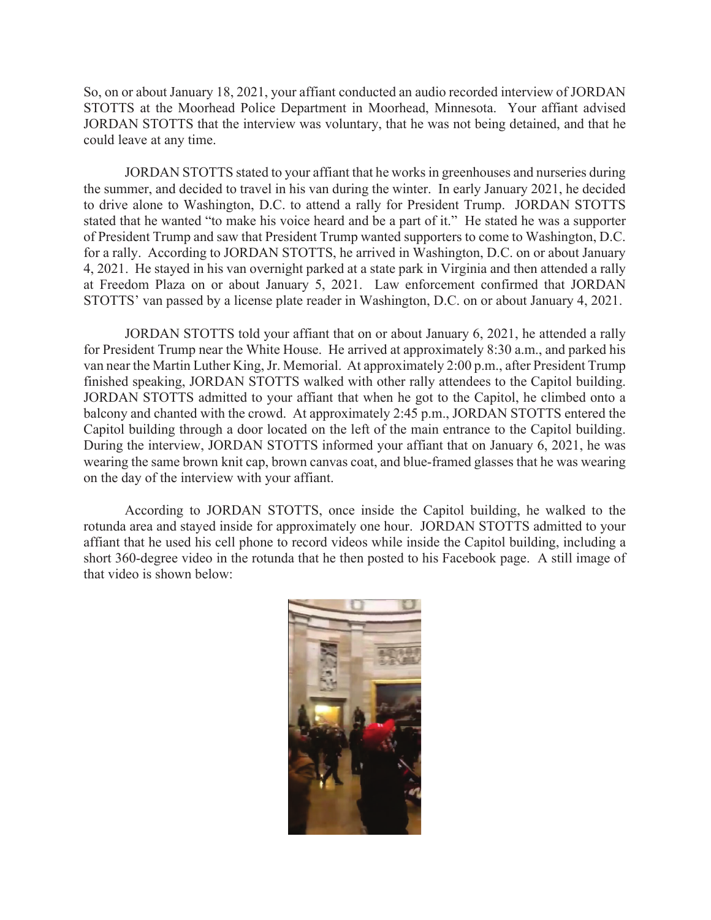So, on or about January 18, 2021, your affiant conducted an audio recorded interview of JORDAN STOTTS at the Moorhead Police Department in Moorhead, Minnesota. Your affiant advised JORDAN STOTTS that the interview was voluntary, that he was not being detained, and that he could leave at any time.

JORDAN STOTTS stated to your affiant that he works in greenhouses and nurseries during the summer, and decided to travel in his van during the winter. In early January 2021, he decided to drive alone to Washington, D.C. to attend a rally for President Trump. JORDAN STOTTS stated that he wanted "to make his voice heard and be a part of it." He stated he was a supporter of President Trump and saw that President Trump wanted supporters to come to Washington, D.C. for a rally. According to JORDAN STOTTS, he arrived in Washington, D.C. on or about January 4, 2021. He stayed in his van overnight parked at a state park in Virginia and then attended a rally at Freedom Plaza on or about January 5, 2021. Law enforcement confirmed that JORDAN STOTTS' van passed by a license plate reader in Washington, D.C. on or about January 4, 2021.

JORDAN STOTTS told your affiant that on or about January 6, 2021, he attended a rally for President Trump near the White House. He arrived at approximately 8:30 a.m., and parked his van near the Martin Luther King, Jr. Memorial. At approximately 2:00 p.m., after President Trump finished speaking, JORDAN STOTTS walked with other rally attendees to the Capitol building. JORDAN STOTTS admitted to your affiant that when he got to the Capitol, he climbed onto a balcony and chanted with the crowd. At approximately 2:45 p.m., JORDAN STOTTS entered the Capitol building through a door located on the left of the main entrance to the Capitol building. During the interview, JORDAN STOTTS informed your affiant that on January 6, 2021, he was wearing the same brown knit cap, brown canvas coat, and blue-framed glasses that he was wearing on the day of the interview with your affiant.

According to JORDAN STOTTS, once inside the Capitol building, he walked to the rotunda area and stayed inside for approximately one hour. JORDAN STOTTS admitted to your affiant that he used his cell phone to record videos while inside the Capitol building, including a short 360-degree video in the rotunda that he then posted to his Facebook page. A still image of that video is shown below:

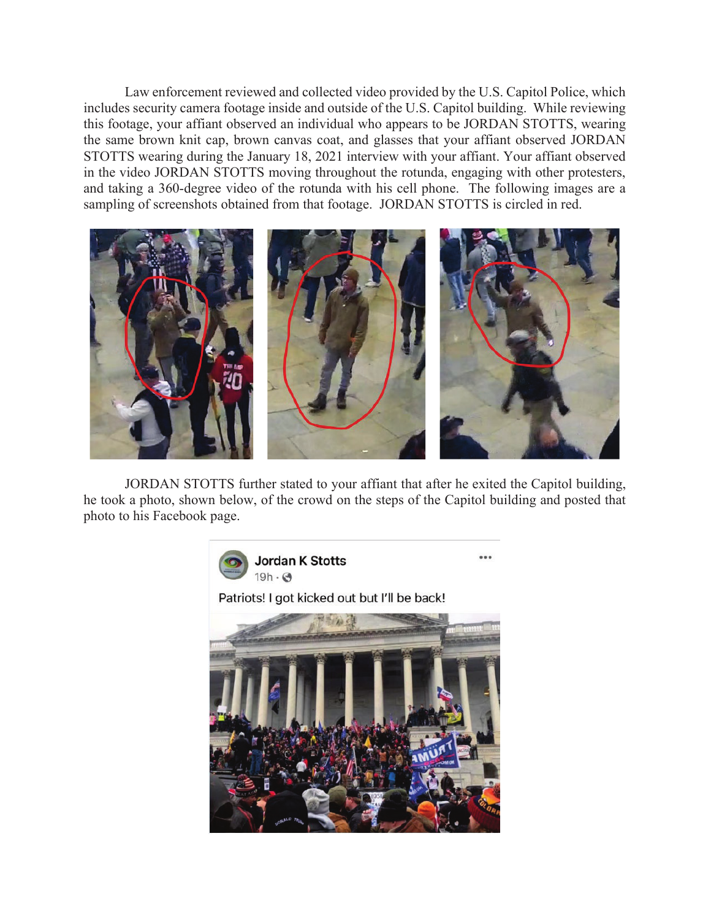Law enforcement reviewed and collected video provided by the U.S. Capitol Police, which includes security camera footage inside and outside of the U.S. Capitol building. While reviewing this footage, your affiant observed an individual who appears to be JORDAN STOTTS, wearing the same brown knit cap, brown canvas coat, and glasses that your affiant observed JORDAN STOTTS wearing during the January 18, 2021 interview with your affiant. Your affiant observed in the video JORDAN STOTTS moving throughout the rotunda, engaging with other protesters, and taking a 360-degree video of the rotunda with his cell phone. The following images are a sampling of screenshots obtained from that footage. JORDAN STOTTS is circled in red.



JORDAN STOTTS further stated to your affiant that after he exited the Capitol building, he took a photo, shown below, of the crowd on the steps of the Capitol building and posted that photo to his Facebook page.